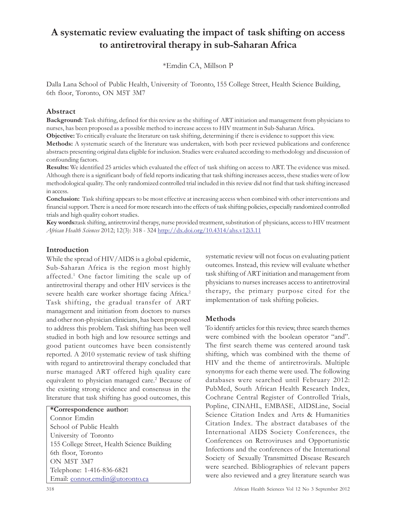# **A systematic review evaluating the impact of task shifting on access to antiretroviral therapy in sub-Saharan Africa**

\*Emdin CA, Millson P

Dalla Lana School of Public Health, University of Toronto, 155 College Street, Health Science Building, 6th floor, Toronto, ON M5T 3M7

### **Abstract**

**Background:** Task shifting, defined for this review as the shifting of ART initiation and management from physicians to nurses, has been proposed as a possible method to increase access to HIV treatment in Sub-Saharan Africa.

**Objective:** To critically evaluate the literature on task shifting, determining if there is evidence to support this view.

**Methods:** A systematic search of the literature was undertaken, with both peer reviewed publications and conference abstracts presenting original data eligible for inclusion. Studies were evaluated according to methodology and discussion of confounding factors.

**Results:** We identified 25 articles which evaluated the effect of task shifting on access to ART. The evidence was mixed. Although there is a significant body of field reports indicating that task shifting increases access, these studies were of low methodological quality. The only randomized controlled trial included in this review did not find that task shifting increased in access.

**Conclusion:** Task shifting appears to be most effective at increasing access when combined with other interventions and financial support. There is a need for more research into the effects of task shifting policies, especially randomized controlled trials and high quality cohort studies.

**Key words:**task shifting, antiretroviral therapy, nurse provided treatment, substitution of physicians, access to HIV treatment *African Health Sciences* 2012; 12(3): 318 - 324 http://dx.doi.org/10.4314/ahs.v12i3.11

# **Introduction**

While the spread of HIV/AIDS is a global epidemic, Sub-Saharan Africa is the region most highly affected.<sup>1</sup> One factor limiting the scale up of antiretroviral therapy and other HIV services is the severe health care worker shortage facing Africa.<sup>2</sup> Task shifting, the gradual transfer of ART management and initiation from doctors to nurses and other non-physician clinicians, has been proposed to address this problem. Task shifting has been well studied in both high and low resource settings and good patient outcomes have been consistently reported. A 2010 systematic review of task shifting with regard to antiretroviral therapy concluded that nurse managed ART offered high quality care equivalent to physician managed care.<sup>2</sup> Because of the existing strong evidence and consensus in the literature that task shifting has good outcomes, this

# **\*Correspondence author:** Connor Emdin

School of Public Health University of Toronto 155 College Street, Health Science Building 6th floor, Toronto ON M5T 3M7 Telephone: 1-416-836-6821 Email: connor.emdin@utoronto.ca

systematic review will not focus on evaluating patient outcomes. Instead, this review will evaluate whether task shifting of ART initiation and management from physicians to nurses increases access to antiretroviral therapy, the primary purpose cited for the implementation of task shifting policies.

# **Methods**

To identify articles for this review, three search themes were combined with the boolean operator "and". The first search theme was centered around task shifting, which was combined with the theme of HIV and the theme of antiretrovirals. Multiple synonyms for each theme were used. The following databases were searched until February 2012: PubMed, South African Health Research Index, Cochrane Central Register of Controlled Trials, Popline, CINAHL, EMBASE, AIDSLine, Social Science Citation Index and Arts & Humanities Citation Index. The abstract databases of the International AIDS Society Conferences, the Conferences on Retroviruses and Opportunistic Infections and the conferences of the International Society of Sexually Transmitted Disease Research were searched. Bibliographies of relevant papers were also reviewed and a grey literature search was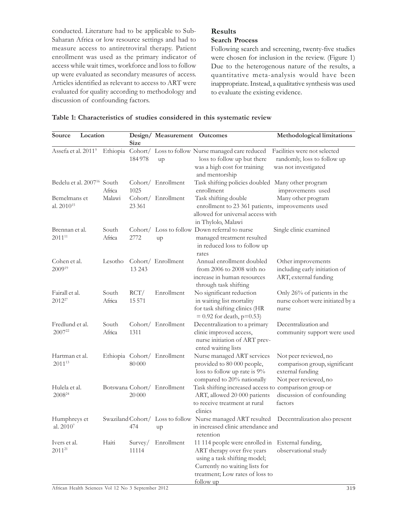conducted. Literature had to be applicable to Sub-Saharan Africa or low resource settings and had to measure access to antiretroviral therapy. Patient enrollment was used as the primary indicator of access while wait times, workforce and loss to follow up were evaluated as secondary measures of access. Articles identified as relevant to access to ART were evaluated for quality according to methodology and discussion of confounding factors.

# **Results**

# **Search Process**

Following search and screening, twenty-five studies were chosen for inclusion in the review. (Figure 1) Due to the heterogenous nature of the results, a quantitative meta-analysis would have been inappropriate. Instead, a qualitative synthesis was used to evaluate the existing evidence.

# **Table 1: Characteristics of studies considered in this systematic review**

| Location<br>Source                     |                 | <b>Size</b>      | Design/ Measurement Outcomes |                                                                                                                                                                                                   | Methodological limitations                                                                          |
|----------------------------------------|-----------------|------------------|------------------------------|---------------------------------------------------------------------------------------------------------------------------------------------------------------------------------------------------|-----------------------------------------------------------------------------------------------------|
| Assefa et al. 2011 <sup>9</sup>        |                 | 184978           | up                           | Ethiopia Cohort/ Loss to follow Nurse managed care reduced<br>loss to follow up but there<br>was a high cost for training<br>and mentorship                                                       | Facilities were not selected<br>randomly, loss to follow up<br>was not investigated                 |
| Bedelu et al. 2007 <sup>16</sup> South | Africa          | 1025             | Cohort/ Enrollment           | Task shifting policies doubled Many other program<br>enrollment                                                                                                                                   | improvements used                                                                                   |
| Bemelmans et<br>al. 2010 <sup>15</sup> | Malawi          | 23 3 61          | Cohort/ Enrollment           | Task shifting double<br>enrollment to 23 361 patients, improvements used<br>allowed for universal access with<br>in Thylolo, Malawi                                                               | Many other program                                                                                  |
| Brennan et al.<br>$2011^{11}$          | South<br>Africa | Cohort/<br>2772  | up                           | Loss to follow Down referral to nurse<br>managed treatment resulted<br>in reduced loss to follow up<br>rates                                                                                      | Single clinic examined                                                                              |
| Cohen et al.<br>200919                 | Lesotho         | 13 24 3          | Cohort/ Enrollment           | Annual enrollment doubled<br>from 2006 to 2008 with no<br>increase in human resources<br>through task shifting                                                                                    | Other improvements<br>including early initiation of<br>ART, external funding                        |
| Fairall et al.<br>2012 <sup>27</sup>   | South<br>Africa | RCT/<br>15 5 71  | Enrollment                   | No significant reduction<br>in waiting list mortality<br>for task shifting clinics (HR<br>$= 0.92$ for death, p=0.53)                                                                             | Only 26% of patients in the<br>nurse cohort were initiated by a<br>nurse                            |
| Fredlund et al.<br>200722              | South<br>Africa | 1311             | Cohort/ Enrollment           | Decentralization to a primary<br>clinic improved access,<br>nurse initiation of ART prev-<br>ented waiting lists                                                                                  | Decentralization and<br>community support were used                                                 |
| Hartman et al.<br>$2011^{13}$          |                 | 80 000           | Ethiopia Cohort/ Enrollment  | Nurse managed ART services<br>provided to 80 000 people,<br>loss to follow up rate is 9%<br>compared to 20% nationally                                                                            | Not peer reviewed, no<br>comparison group, significant<br>external funding<br>Not peer reviewed, no |
| Hulela et al.<br>2008 <sup>24</sup>    |                 | 20 000           | Botswana Cohort/ Enrollment  | Task shifting increased access to comparison group or<br>ART, allowed 20 000 patients<br>to receive treatment at rural<br>clinics                                                                 | discussion of confounding<br>factors                                                                |
| Humphreys et<br>al. 2010 <sup>7</sup>  |                 | 474              | up                           | Swaziland Cohort/ Loss to follow Nurse managed ART resulted Decentralization also present<br>in increased clinic attendance and<br>retention                                                      |                                                                                                     |
| Ivers et al.<br>$2011^{21}$            | Haiti           | Survey/<br>11114 | Enrollment                   | 11 114 people were enrolled in External funding,<br>ART therapy over five years<br>using a task shifting model;<br>Currently no waiting lists for<br>treatment; Low rates of loss to<br>follow up | observational study                                                                                 |

African Health Sciences Vol 12 No 3 September 2012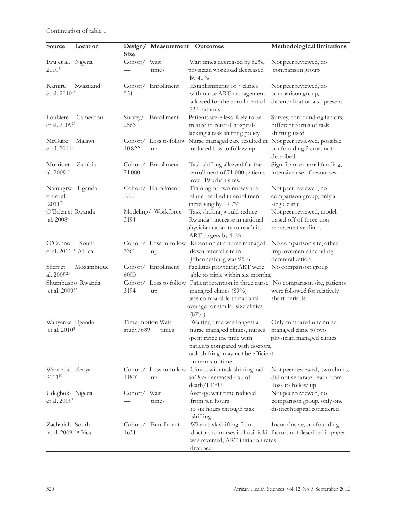Continuation of table 1

| Source                                     | Location   | Design/          | Measurement        | <b>Outcomes</b>                                                              | Methodological limitations                          |
|--------------------------------------------|------------|------------------|--------------------|------------------------------------------------------------------------------|-----------------------------------------------------|
|                                            |            | <b>Size</b>      |                    |                                                                              |                                                     |
| Iwu et al. Nigeria                         |            | Cohort/          | Wait               | Wait times decreased by 62%,                                                 | Not peer reviewed, no                               |
| 2010 <sup>5</sup>                          |            |                  | times              | physician workload decreased<br>by 41%                                       | comparison group                                    |
| Kamiru                                     | Swaziland  |                  | Cohort/ Enrollment | Establishments of 7 clinics                                                  | Not peer reviewed, no                               |
| et al. 2010 <sup>26</sup>                  |            | 534              |                    | with nurse ART management                                                    | comparison group,                                   |
|                                            |            |                  |                    | allowed for the enrollment of<br>534 patients                                | decentralization also present                       |
| Loubiere                                   | Cameroon   | Survey/          | Enrollment         | Patients were less likely to be                                              | Survey, confounding factors,                        |
| et al. 2009 <sup>23</sup>                  |            | 2566             |                    | treated in central hospitals                                                 | different forms of task                             |
|                                            |            |                  |                    | lacking a task shifting policy                                               | shifting used                                       |
| McGuire                                    | Malawi     | Cohort/          |                    | Loss to follow Nurse managed care resulted in Not peer reviewed, possible    |                                                     |
| et al. 2011 <sup>8</sup>                   |            | 10822            | up                 | reduced loss to follow up                                                    | confounding factors not<br>described                |
| Morris et                                  | Zambia     |                  | Cohort/ Enrollment | Task shifting allowed for the                                                | Significant external funding,                       |
| al. 2009 <sup>18</sup>                     |            | 71 000           |                    | enrollment of 71 000 patients<br>over 19 urban sites.                        | intensive use of resources                          |
| Namugrw- Uganda                            |            |                  | Cohort/ Enrollment | Training of two nurses at a                                                  | Not peer reviewed, no                               |
| ere et al.                                 |            | 1992             |                    | clinic resulted in enrollment                                                | comparison group, only a                            |
| 2011 <sup>25</sup>                         |            |                  |                    | increasing by 19.7%                                                          | single clinic                                       |
| O'Brien et Rwanda<br>al. 2008 <sup>6</sup> |            | 3194             | Modeling/Workforce | Task shifting would reduce<br>Rwanda's increase in national                  | Not peer reviewed, model<br>based off of three non- |
|                                            |            |                  |                    | physician capacity to reach its                                              | representative clinics                              |
|                                            |            |                  |                    | ART targets by 41%                                                           |                                                     |
| O'Connect                                  | South      | Cohort/          |                    | Loss to follow Retention at a nurse managed                                  | No comparison site, other                           |
| et al. 2011 <sup>14</sup> Africa           |            | 3361             | up                 | down referral site in                                                        | improvements including                              |
|                                            |            |                  |                    | Johannesburg was 95%                                                         | decentralization                                    |
| Sherr et                                   | Mozambique | Cohort/          | Enrollment         | Facilities providing ART were                                                | No comparison group                                 |
| al. 2009 <sup>20</sup>                     |            | 6000             |                    | able to triple within six months,                                            |                                                     |
| Shumbusho Rwanda                           |            | Cohort/          |                    | Loss to follow Patient retention in three nurse No comparison site, patients |                                                     |
| et al. 2009 <sup>12</sup>                  |            | 3194             | up                 | managed clinics (89%)                                                        | were followed for relatively                        |
|                                            |            |                  |                    | was comparable to national                                                   | short periods                                       |
|                                            |            |                  |                    | average for similar size clinics<br>(87%)                                    |                                                     |
| Wanyenze Uganda                            |            | Time-motion Wait |                    | Waiting time was longest a                                                   | Only compared one nurse                             |
| et al. 2010 <sup>3</sup>                   |            | study/689        | times              | nurse managed clinics, nurses                                                | managed clinic to two                               |
|                                            |            |                  |                    | spent twice the time with                                                    | physician managed clinics                           |
|                                            |            |                  |                    | patients compared with doctors,<br>task shifting may not be efficient        |                                                     |
|                                            |            |                  |                    | in terms of time                                                             |                                                     |
| Were et al. Kenya                          |            | Cohort/          |                    | Loss to follow Clinics with task shifting had                                | Not peer reviewed, two clinics,                     |
| $2011^{10}$                                |            | 11800            | up                 | an18% decreased risk of                                                      | did not separate death from                         |
|                                            |            |                  |                    | death/LTFU                                                                   | loss to follow up                                   |
| Udegboka Nigeria                           |            | Cohort/          | Wait               | Average wait time reduced                                                    | Not peer reviewed, no                               |
| et al. 2009 <sup>4</sup>                   |            |                  | times              | from ten hours                                                               | comparison group, only one                          |
|                                            |            |                  |                    | to six hours through task                                                    | district hospital considered                        |
|                                            |            |                  |                    | shifting                                                                     |                                                     |
| Zachariah South                            |            | Cohort/          | Enrollment         | When task shifting from                                                      | Inconclusive, confounding                           |
| et al. 2009 <sup>17</sup> Africa           |            | 1634             |                    | doctors to nurses in Lusikisiki factors not described in paper               |                                                     |
|                                            |            |                  |                    | was reversed, ART initiation rates                                           |                                                     |
|                                            |            |                  |                    | dropped                                                                      |                                                     |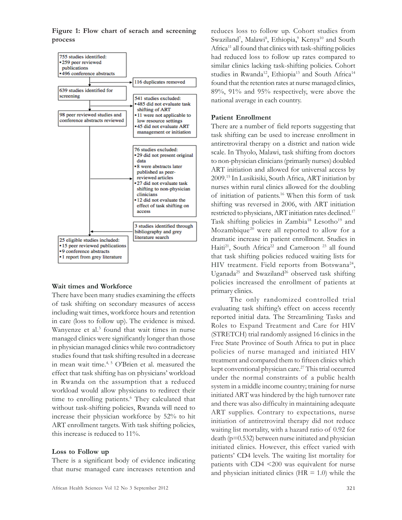**Figure 1: Flow chart of serach and screening process**



#### **Wait times and Workforce**

There have been many studies examining the effects of task shifting on secondary measures of access including wait times, workforce hours and retention in care (loss to follow up). The evidence is mixed. Wanyenze et al.<sup>3</sup> found that wait times in nurse managed clinics were significantly longer than those in physician managed clinics while two contradictory studies found that task shifting resulted in a decrease in mean wait time.<sup>4, 5</sup> O'Brien et al. measured the effect that task shifting has on physicians' workload in Rwanda on the assumption that a reduced workload would allow physicians to redirect their time to enrolling patients.<sup>6</sup> They calculated that without task-shifting policies, Rwanda will need to increase their physician workforce by 52% to hit ART enrollment targets. With task shifting policies, this increase is reduced to 11%.

#### **Loss to Follow up**

There is a significant body of evidence indicating that nurse managed care increases retention and reduces loss to follow up. Cohort studies from Swaziland<sup>7</sup>, Malawi<sup>8</sup>, Ethiopia,<sup>9</sup> Kenya<sup>10</sup> and South Africa<sup>11</sup> all found that clinics with task-shifting policies had reduced loss to follow up rates compared to similar clinics lacking task-shifting policies. Cohort studies in Rwanda<sup>12</sup>, Ethiopia<sup>13</sup> and South Africa<sup>14</sup> found that the retention rates at nurse managed clinics, 89%, 91% and 95% respectively, were above the national average in each country.

#### **Patient Enrollment**

There are a number of field reports suggesting that task shifting can be used to increase enrollment in antiretroviral therapy on a district and nation wide scale. In Thyolo, Malawi, task shifting from doctors to non-physician clinicians (primarily nurses) doubled ART initiation and allowed for universal access by 2009.15 In Lusikisiki, South Africa, ART initiation by nurses within rural clinics allowed for the doubling of initiation of patients.16 When this form of task shifting was reversed in 2006, with ART initiation restricted to physicians, ART initiation rates declined.<sup>17</sup> Task shifting policies in  $Zambia^{18}$  Lesotho<sup>19</sup> and Mozambique<sup>20</sup> were all reported to allow for a dramatic increase in patient enrollment. Studies in Haiti<sup>21</sup>, South Africa<sup>22</sup> and Cameroon<sup>23</sup> all found that task shifting policies reduced waiting lists for HIV treatment. Field reports from Botswana<sup>24</sup>, Uganada<sup>25</sup> and Swaziland<sup>26</sup> observed task shifting policies increased the enrollment of patients at primary clinics.

The only randomized controlled trial evaluating task shifting's effect on access recently reported initial data. The Streamlining Tasks and Roles to Expand Treatment and Care for HIV (STRETCH) trial randomly assigned 16 clinics in the Free State Province of South Africa to put in place policies of nurse managed and initiated HIV treatment and compared them to fifteen clinics which kept conventional physician care.<sup>27</sup> This trial occurred under the normal constraints of a public health system in a middle income country; training for nurse initiated ART was hindered by the high turnover rate and there was also difficulty in maintaining adequate ART supplies. Contrary to expectations, nurse initiation of antiretroviral therapy did not reduce waiting list mortality, with a hazard ratio of 0.92 for death  $(p=0.532)$  between nurse initiated and physician initiated clinics. However, this effect varied with patients' CD4 levels. The waiting list mortality for patients with CD4 <200 was equivalent for nurse and physician initiated clinics ( $HR = 1.0$ ) while the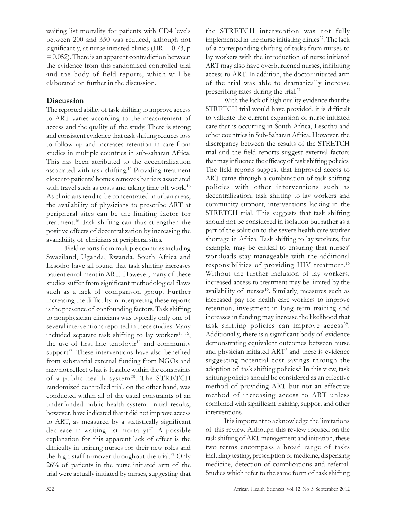waiting list mortality for patients with CD4 levels between 200 and 350 was reduced, although not significantly, at nurse initiated clinics (HR =  $0.73$ , p  $= 0.052$ ). There is an apparent contradiction between the evidence from this randomized controlled trial and the body of field reports, which will be elaborated on further in the discussion.

#### **Discussion**

The reported ability of task shifting to improve access to ART varies according to the measurement of access and the quality of the study. There is strong and consistent evidence that task shifting reduces loss to follow up and increases retention in care from studies in multiple countries in sub-saharan Africa. This has been attributed to the decentralization associated with task shifting.16 Providing treatment closer to patients' homes removes barriers associated with travel such as costs and taking time off work.<sup>16</sup> As clinicians tend to be concentrated in urban areas, the availability of physicians to prescribe ART at peripheral sites can be the limiting factor for treatment.16 Task shifting can thus strengthen the positive effects of decentralization by increasing the availability of clinicians at peripheral sites.

Field reports from multiple countries including Swaziland, Uganda, Rwanda, South Africa and Lesotho have all found that task shifting increases patient enrollment in ART. However, many of these studies suffer from significant methodological flaws such as a lack of comparison group. Further increasing the difficulty in interpreting these reports is the presence of confounding factors. Task shifting to nonphysician clinicians was typically only one of several interventions reported in these studies. Many included separate task shifting to lay workers $^{15, 16}$ , the use of first line tenofovir<sup>19</sup> and community support $22$ . These interventions have also benefited from substantial external funding from NGOs and may not reflect what is feasible within the constraints of a public health system<sup>28</sup>. The STRETCH randomized controlled trial, on the other hand, was conducted within all of the usual constraints of an underfunded public health system. Initial results, however, have indicated that it did not improve access to ART, as measured by a statistically significant decrease in waiting list mortaliyt<sup>27</sup>. A possible explanation for this apparent lack of effect is the difficulty in training nurses for their new roles and the high staff turnover throughout the trial.<sup>27</sup> Only 26% of patients in the nurse initiated arm of the trial were actually initiated by nurses, suggesting that

the STRETCH intervention was not fully implemented in the nurse initiating clinics<sup>27</sup>. The lack of a corresponding shifting of tasks from nurses to lay workers with the introduction of nurse initiated ART may also have overburdened nurses, inhibiting access to ART. In addition, the doctor initiated arm of the trial was able to dramatically increase prescribing rates during the trial.27

With the lack of high quality evidence that the STRETCH trial would have provided, it is difficult to validate the current expansion of nurse initiated care that is occurring in South Africa, Lesotho and other countries in Sub-Saharan Africa. However, the discrepancy between the results of the STRETCH trial and the field reports suggest external factors that may influence the efficacy of task shifting policies. The field reports suggest that improved access to ART came through a combination of task shifting policies with other interventions such as decentralization, task shifting to lay workers and community support, interventions lacking in the STRETCH trial. This suggests that task shifting should not be considered in isolation but rather as a part of the solution to the severe health care worker shortage in Africa. Task shifting to lay workers, for example, may be critical to ensuring that nurses' workloads stay manageable with the additional responsibilities of providing HIV treatment.16 Without the further inclusion of lay workers, increased access to treatment may be limited by the availability of nurses<sup>16</sup>. Similarly, measures such as increased pay for health care workers to improve retention, investment in long term training and increases in funding may increase the likelihood that task shifting policies can improve access<sup>29</sup>. Additionally, there is a significant body of evidence demonstrating equivalent outcomes between nurse and physician initiated ART<sup>2</sup> and there is evidence suggesting potential cost savings through the adoption of task shifting policies.<sup>2</sup> In this view, task shifting policies should be considered as an effective method of providing ART but not an effective method of increasing access to ART unless combined with significant training, support and other interventions.

It is important to acknowledge the limitations of this review. Although this review focused on the task shifting of ART management and initiation, these two terms encompass a broad range of tasks including testing, prescription of medicine, dispensing medicine, detection of complications and referral. Studies which refer to the same form of task shifting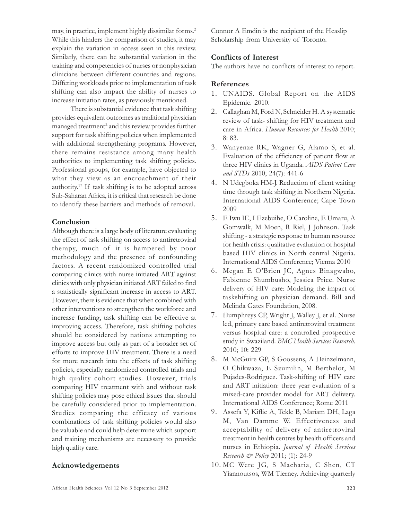may, in practice, implement highly dissimilar forms.2 While this hinders the comparison of studies, it may explain the variation in access seen in this review. Similarly, there can be substantial variation in the training and competencies of nurses or nonphysician clinicians between different countries and regions. Differing workloads prior to implementation of task shifting can also impact the ability of nurses to increase initiation rates, as previously mentioned.

There is substantial evidence that task shifting provides equivalent outcomes as traditional physician managed treatment<sup>2</sup> and this review provides further support for task shifting policies when implemented with additional strengthening programs. However, there remains resistance among many health authorities to implementing task shifting policies. Professional groups, for example, have objected to what they view as an encroachment of their authority.17 If task shifting is to be adopted across Sub-Saharan Africa, it is critical that research be done to identify these barriers and methods of removal.

## **Conclusion**

Although there is a large body of literature evaluating the effect of task shifting on access to antiretroviral therapy, much of it is hampered by poor methodology and the presence of confounding factors. A recent randomized controlled trial comparing clinics with nurse initiated ART against clinics with only physician initiated ART failed to find a statistically significant increase in access to ART. However, there is evidence that when combined with other interventions to strengthen the workforce and increase funding, task shifting can be effective at improving access. Therefore, task shifting policies should be considered by nations attempting to improve access but only as part of a broader set of efforts to improve HIV treatment. There is a need for more research into the effects of task shifting policies, especially randomized controlled trials and high quality cohort studies. However, trials comparing HIV treatment with and without task shifting policies may pose ethical issues that should be carefully considered prior to implementation. Studies comparing the efficacy of various combinations of task shifting policies would also be valuable and could help determine which support and training mechanisms are necessary to provide high quality care.

# **Acknowledgements**

Connor A Emdin is the recipient of the Heaslip Scholarship from University of Toronto.

# **Conflicts of Interest**

The authors have no conflicts of interest to report.

## **References**

- 1. UNAIDS. Global Report on the AIDS Epidemic. 2010.
- 2. Callaghan M, Ford N, Schneider H. A systematic review of task- shifting for HIV treatment and care in Africa. *Human Resources for Health* 2010; 8: 83.
- 3. Wanyenze RK, Wagner G, Alamo S, et al. Evaluation of the efficiency of patient flow at three HIV clinics in Uganda. *AIDS Patient Care and STDs* 2010; 24(7): 441-6
- 4. N Udegboka HM-J. Reduction of client waiting time through task shifting in Northern Nigeria. International AIDS Conference; Cape Town 2009
- 5. E Iwu IE, I Ezebuihe, O Caroline, E Umaru, A Gomwalk, M Moen, R Riel, J Johnson. Task shifting - a strategic response to human resource for health crisis: qualitative evaluation of hospital based HIV clinics in North central Nigeria. International AIDS Conference; Vienna 2010
- 6. Megan E O'Brien JC, Agnes Binagwaho, Fabienne Shumbusho, Jessica Price. Nurse delivery of HIV care: Modeling the impact of taskshifting on physician demand. Bill and Melinda Gates Foundation, 2008.
- 7. Humphreys CP, Wright J, Walley J, et al. Nurse led, primary care based antiretroviral treatment versus hospital care: a controlled prospective study in Swaziland. *BMC Health Services Research*. 2010; 10: 229
- 8. M McGuire GP, S Goossens, A Heinzelmann, O Chikwaza, E Szumilin, M Berthelot, M Pujades-Rodriguez. Task-shifting of HIV care and ART initiation: three year evaluation of a mixed-care provider model for ART delivery. International AIDS Conference; Rome 2011
- 9. Assefa Y, Kiflie A, Tekle B, Mariam DH, Laga M, Van Damme W. Effectiveness and acceptability of delivery of antiretroviral treatment in health centres by health officers and nurses in Ethiopia. *Journal of Health Services Research & Policy* 2011; (1): 24-9
- 10. MC Were JG, S Macharia, C Shen, CT Yiannoutsos, WM Tierney. Achieving quarterly